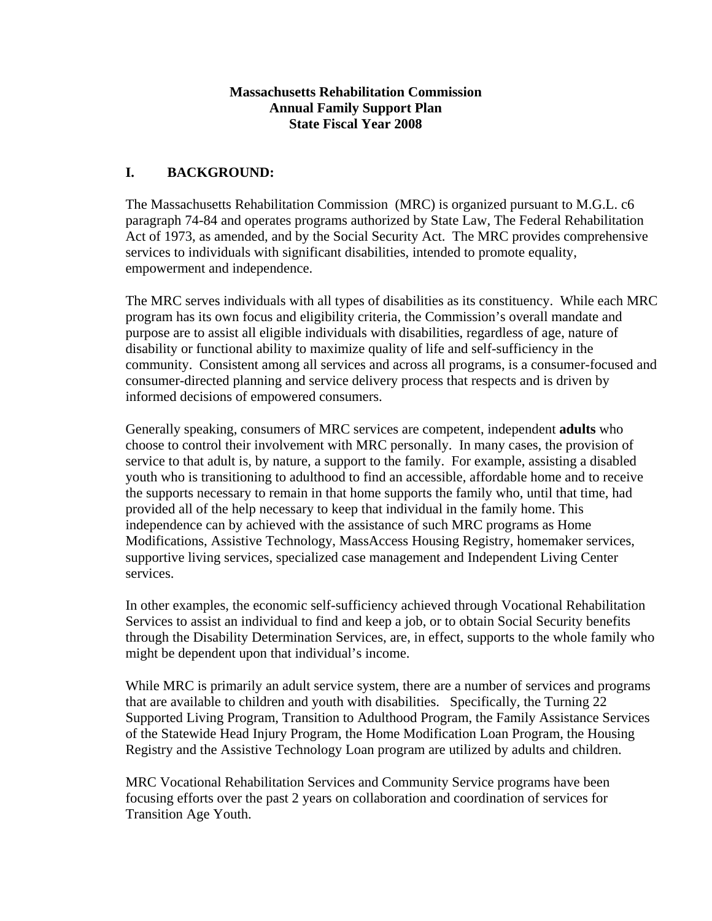### **Massachusetts Rehabilitation Commission Annual Family Support Plan State Fiscal Year 2008**

## **I. BACKGROUND:**

The Massachusetts Rehabilitation Commission (MRC) is organized pursuant to M.G.L. c6 paragraph 74-84 and operates programs authorized by State Law, The Federal Rehabilitation Act of 1973, as amended, and by the Social Security Act. The MRC provides comprehensive services to individuals with significant disabilities, intended to promote equality, empowerment and independence.

The MRC serves individuals with all types of disabilities as its constituency. While each MRC program has its own focus and eligibility criteria, the Commission's overall mandate and purpose are to assist all eligible individuals with disabilities, regardless of age, nature of disability or functional ability to maximize quality of life and self-sufficiency in the community. Consistent among all services and across all programs, is a consumer-focused and consumer-directed planning and service delivery process that respects and is driven by informed decisions of empowered consumers.

Generally speaking, consumers of MRC services are competent, independent **adults** who choose to control their involvement with MRC personally. In many cases, the provision of service to that adult is, by nature, a support to the family. For example, assisting a disabled youth who is transitioning to adulthood to find an accessible, affordable home and to receive the supports necessary to remain in that home supports the family who, until that time, had provided all of the help necessary to keep that individual in the family home. This independence can by achieved with the assistance of such MRC programs as Home Modifications, Assistive Technology, MassAccess Housing Registry, homemaker services, supportive living services, specialized case management and Independent Living Center services.

In other examples, the economic self-sufficiency achieved through Vocational Rehabilitation Services to assist an individual to find and keep a job, or to obtain Social Security benefits through the Disability Determination Services, are, in effect, supports to the whole family who might be dependent upon that individual's income.

While MRC is primarily an adult service system, there are a number of services and programs that are available to children and youth with disabilities. Specifically, the Turning 22 Supported Living Program, Transition to Adulthood Program, the Family Assistance Services of the Statewide Head Injury Program, the Home Modification Loan Program, the Housing Registry and the Assistive Technology Loan program are utilized by adults and children.

MRC Vocational Rehabilitation Services and Community Service programs have been focusing efforts over the past 2 years on collaboration and coordination of services for Transition Age Youth.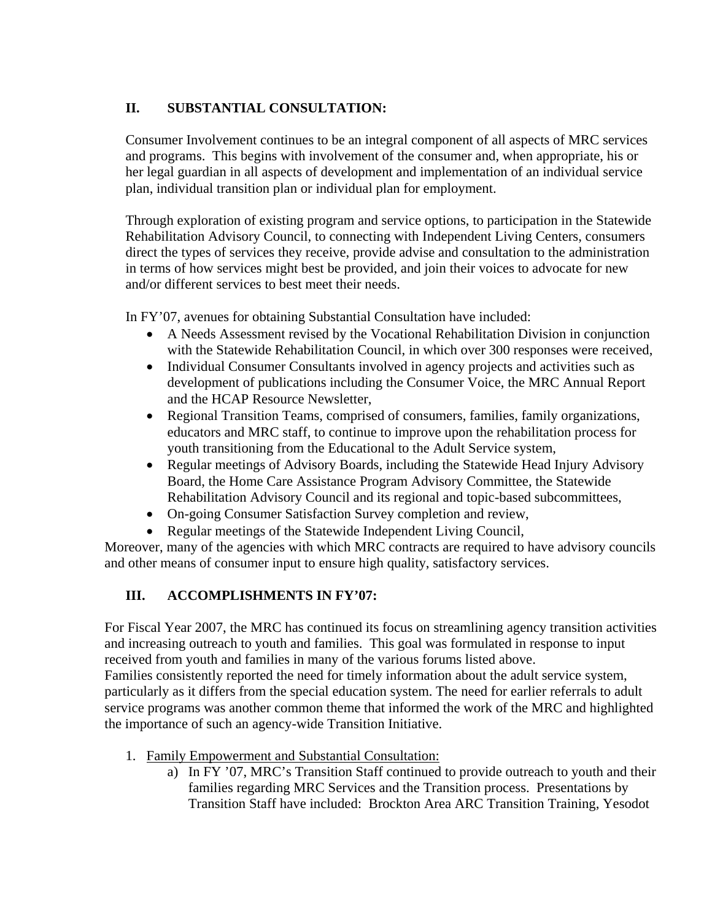# **II. SUBSTANTIAL CONSULTATION:**

Consumer Involvement continues to be an integral component of all aspects of MRC services and programs. This begins with involvement of the consumer and, when appropriate, his or her legal guardian in all aspects of development and implementation of an individual service plan, individual transition plan or individual plan for employment.

Through exploration of existing program and service options, to participation in the Statewide Rehabilitation Advisory Council, to connecting with Independent Living Centers, consumers direct the types of services they receive, provide advise and consultation to the administration in terms of how services might best be provided, and join their voices to advocate for new and/or different services to best meet their needs.

In FY'07, avenues for obtaining Substantial Consultation have included:

- A Needs Assessment revised by the Vocational Rehabilitation Division in conjunction with the Statewide Rehabilitation Council, in which over 300 responses were received,
- Individual Consumer Consultants involved in agency projects and activities such as development of publications including the Consumer Voice, the MRC Annual Report and the HCAP Resource Newsletter,
- Regional Transition Teams, comprised of consumers, families, family organizations, educators and MRC staff, to continue to improve upon the rehabilitation process for youth transitioning from the Educational to the Adult Service system,
- Regular meetings of Advisory Boards, including the Statewide Head Injury Advisory Board, the Home Care Assistance Program Advisory Committee, the Statewide Rehabilitation Advisory Council and its regional and topic-based subcommittees,
- On-going Consumer Satisfaction Survey completion and review,
- Regular meetings of the Statewide Independent Living Council,

Moreover, many of the agencies with which MRC contracts are required to have advisory councils and other means of consumer input to ensure high quality, satisfactory services.

## **III. ACCOMPLISHMENTS IN FY'07:**

For Fiscal Year 2007, the MRC has continued its focus on streamlining agency transition activities and increasing outreach to youth and families. This goal was formulated in response to input received from youth and families in many of the various forums listed above. Families consistently reported the need for timely information about the adult service system, particularly as it differs from the special education system. The need for earlier referrals to adult service programs was another common theme that informed the work of the MRC and highlighted the importance of such an agency-wide Transition Initiative.

- 1. Family Empowerment and Substantial Consultation:
	- a) In FY '07, MRC's Transition Staff continued to provide outreach to youth and their families regarding MRC Services and the Transition process. Presentations by Transition Staff have included: Brockton Area ARC Transition Training, Yesodot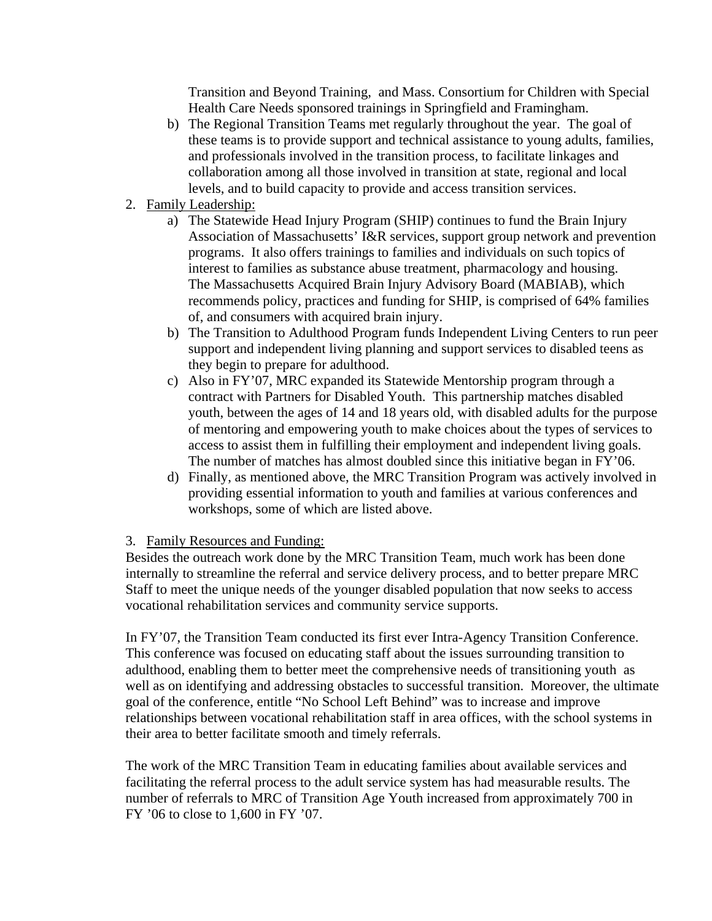Transition and Beyond Training, and Mass. Consortium for Children with Special Health Care Needs sponsored trainings in Springfield and Framingham.

- b) The Regional Transition Teams met regularly throughout the year. The goal of these teams is to provide support and technical assistance to young adults, families, and professionals involved in the transition process, to facilitate linkages and collaboration among all those involved in transition at state, regional and local levels, and to build capacity to provide and access transition services.
- 2. Family Leadership:
	- a) The Statewide Head Injury Program (SHIP) continues to fund the Brain Injury Association of Massachusetts' I&R services, support group network and prevention programs. It also offers trainings to families and individuals on such topics of interest to families as substance abuse treatment, pharmacology and housing. The Massachusetts Acquired Brain Injury Advisory Board (MABIAB), which recommends policy, practices and funding for SHIP, is comprised of 64% families of, and consumers with acquired brain injury.
	- b) The Transition to Adulthood Program funds Independent Living Centers to run peer support and independent living planning and support services to disabled teens as they begin to prepare for adulthood.
	- c) Also in FY'07, MRC expanded its Statewide Mentorship program through a contract with Partners for Disabled Youth. This partnership matches disabled youth, between the ages of 14 and 18 years old, with disabled adults for the purpose of mentoring and empowering youth to make choices about the types of services to access to assist them in fulfilling their employment and independent living goals. The number of matches has almost doubled since this initiative began in FY'06.
	- d) Finally, as mentioned above, the MRC Transition Program was actively involved in providing essential information to youth and families at various conferences and workshops, some of which are listed above.

#### 3. Family Resources and Funding:

Besides the outreach work done by the MRC Transition Team, much work has been done internally to streamline the referral and service delivery process, and to better prepare MRC Staff to meet the unique needs of the younger disabled population that now seeks to access vocational rehabilitation services and community service supports.

In FY'07, the Transition Team conducted its first ever Intra-Agency Transition Conference. This conference was focused on educating staff about the issues surrounding transition to adulthood, enabling them to better meet the comprehensive needs of transitioning youth as well as on identifying and addressing obstacles to successful transition. Moreover, the ultimate goal of the conference, entitle "No School Left Behind" was to increase and improve relationships between vocational rehabilitation staff in area offices, with the school systems in their area to better facilitate smooth and timely referrals.

The work of the MRC Transition Team in educating families about available services and facilitating the referral process to the adult service system has had measurable results. The number of referrals to MRC of Transition Age Youth increased from approximately 700 in FY '06 to close to 1,600 in FY '07.